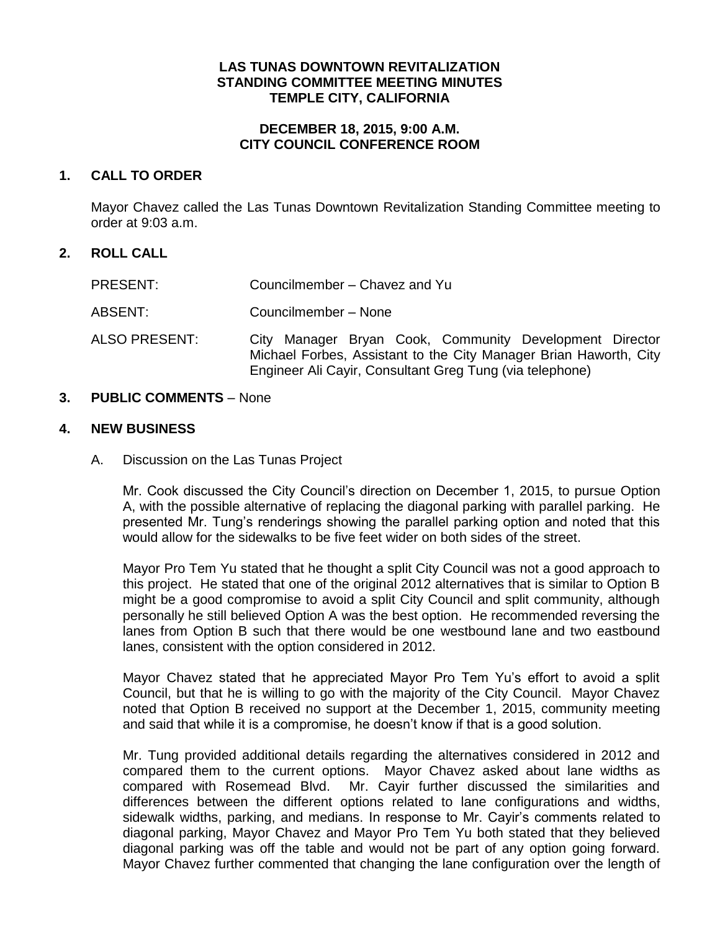## **LAS TUNAS DOWNTOWN REVITALIZATION STANDING COMMITTEE MEETING MINUTES TEMPLE CITY, CALIFORNIA**

## **DECEMBER 18, 2015, 9:00 A.M. CITY COUNCIL CONFERENCE ROOM**

## **1. CALL TO ORDER**

Mayor Chavez called the Las Tunas Downtown Revitalization Standing Committee meeting to order at 9:03 a.m.

# **2. ROLL CALL**

| PRESENT:      | Councilmember - Chavez and Yu                                                                                                                                                            |
|---------------|------------------------------------------------------------------------------------------------------------------------------------------------------------------------------------------|
| ABSENT:       | Councilmember - None                                                                                                                                                                     |
| ALSO PRESENT: | City Manager Bryan Cook, Community Development Director<br>Michael Forbes, Assistant to the City Manager Brian Haworth, City<br>Engineer Ali Cayir, Consultant Greg Tung (via telephone) |

## **3. PUBLIC COMMENTS** – None

## **4. NEW BUSINESS**

A. Discussion on the Las Tunas Project

Mr. Cook discussed the City Council's direction on December 1, 2015, to pursue Option A, with the possible alternative of replacing the diagonal parking with parallel parking. He presented Mr. Tung's renderings showing the parallel parking option and noted that this would allow for the sidewalks to be five feet wider on both sides of the street.

Mayor Pro Tem Yu stated that he thought a split City Council was not a good approach to this project. He stated that one of the original 2012 alternatives that is similar to Option B might be a good compromise to avoid a split City Council and split community, although personally he still believed Option A was the best option. He recommended reversing the lanes from Option B such that there would be one westbound lane and two eastbound lanes, consistent with the option considered in 2012.

Mayor Chavez stated that he appreciated Mayor Pro Tem Yu's effort to avoid a split Council, but that he is willing to go with the majority of the City Council. Mayor Chavez noted that Option B received no support at the December 1, 2015, community meeting and said that while it is a compromise, he doesn't know if that is a good solution.

Mr. Tung provided additional details regarding the alternatives considered in 2012 and compared them to the current options. Mayor Chavez asked about lane widths as compared with Rosemead Blvd. Mr. Cayir further discussed the similarities and differences between the different options related to lane configurations and widths, sidewalk widths, parking, and medians. In response to Mr. Cayir's comments related to diagonal parking, Mayor Chavez and Mayor Pro Tem Yu both stated that they believed diagonal parking was off the table and would not be part of any option going forward. Mayor Chavez further commented that changing the lane configuration over the length of